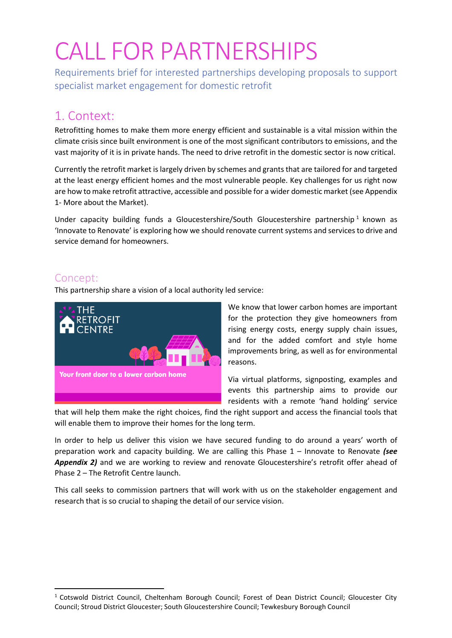# CALL FOR PARTNERSHIPS

Requirements brief for interested partnerships developing proposals to support specialist market engagement for domestic retrofit

# 1. Context:

Retrofitting homes to make them more energy efficient and sustainable is a vital mission within the climate crisis since built environment is one of the most significant contributors to emissions, and the vast majority of it is in private hands. The need to drive retrofit in the domestic sector is now critical.

Currently the retrofit market is largely driven by schemes and grants that are tailored for and targeted at the least energy efficient homes and the most vulnerable people. Key challenges for us right now are how to make retrofit attractive, accessible and possible for a wider domestic market (see Appendix 1- More about the Market).

Under capacity building funds a Gloucestershire/South Gloucestershire partnership<sup>1</sup> known as 'Innovate to Renovate' is exploring how we should renovate current systems and services to drive and service demand for homeowners.

## Concept:

This partnership share a vision of a local authority led service:



We know that lower carbon homes are important for the protection they give homeowners from rising energy costs, energy supply chain issues, and for the added comfort and style home improvements bring, as well as for environmental reasons.

Via virtual platforms, signposting, examples and events this partnership aims to provide our residents with a remote 'hand holding' service

that will help them make the right choices, find the right support and access the financial tools that will enable them to improve their homes for the long term.

In order to help us deliver this vision we have secured funding to do around a years' worth of preparation work and capacity building. We are calling this Phase 1 – Innovate to Renovate *(see Appendix 2)* and we are working to review and renovate Gloucestershire's retrofit offer ahead of Phase 2 – The Retrofit Centre launch.

This call seeks to commission partners that will work with us on the stakeholder engagement and research that is so crucial to shaping the detail of our service vision.

<sup>&</sup>lt;sup>1</sup> Cotswold District Council, Cheltenham Borough Council; Forest of Dean District Council; Gloucester City Council; Stroud District Gloucester; South Gloucestershire Council; Tewkesbury Borough Council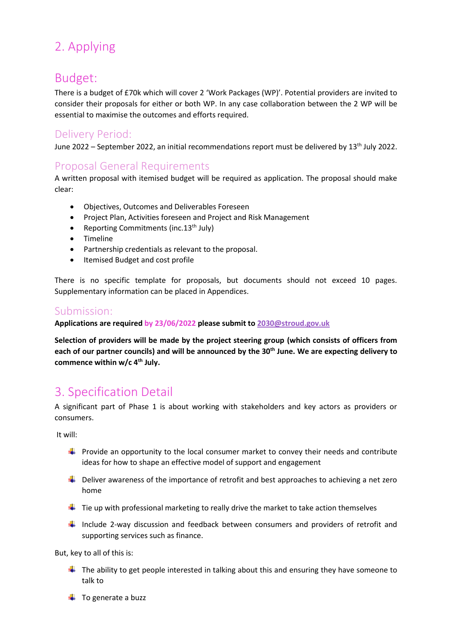# 2. Applying

# Budget:

There is a budget of £70k which will cover 2 'Work Packages (WP)'. Potential providers are invited to consider their proposals for either or both WP. In any case collaboration between the 2 WP will be essential to maximise the outcomes and efforts required.

## Delivery Period:

June 2022 – September 2022, an initial recommendations report must be delivered by 13<sup>th</sup> July 2022.

# Proposal General Requirements

A written proposal with itemised budget will be required as application. The proposal should make clear:

- Objectives, Outcomes and Deliverables Foreseen
- Project Plan, Activities foreseen and Project and Risk Management
- Reporting Commitments (inc.  $13<sup>th</sup>$  July)
- Timeline
- Partnership credentials as relevant to the proposal.
- Itemised Budget and cost profile

There is no specific template for proposals, but documents should not exceed 10 pages. Supplementary information can be placed in Appendices.

### Submission:

**Applications are required by 23/06/2022 please submit to [2030@stroud.gov.uk](mailto:2030@stroud.gov.uk)**

**Selection of providers will be made by the project steering group (which consists of officers from each of our partner councils) and will be announced by the 30th June. We are expecting delivery to commence within w/c 4th July.**

# 3. Specification Detail

A significant part of Phase 1 is about working with stakeholders and key actors as providers or consumers.

It will:

- $\ddot{+}$  Provide an opportunity to the local consumer market to convey their needs and contribute ideas for how to shape an effective model of support and engagement
- $\ddot{+}$  Deliver awareness of the importance of retrofit and best approaches to achieving a net zero home
- $\ddot{\phantom{1}}$  Tie up with professional marketing to really drive the market to take action themselves
- Include 2-way discussion and feedback between consumers and providers of retrofit and supporting services such as finance.

But, key to all of this is:

- $\ddot{\phantom{1}}$  The ability to get people interested in talking about this and ensuring they have someone to talk to
- $\ddot{\bullet}$  To generate a buzz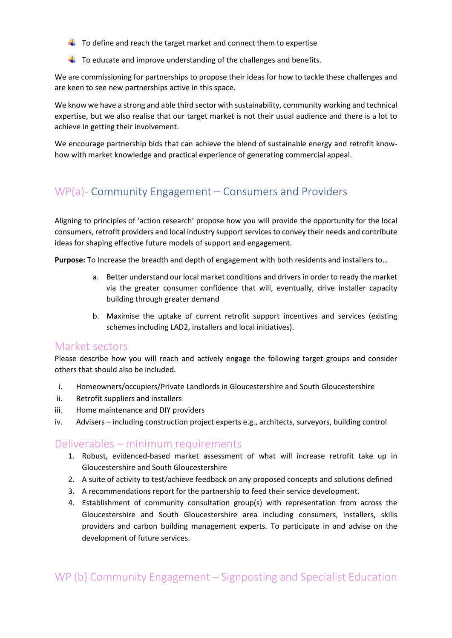- $\downarrow$  To define and reach the target market and connect them to expertise
- $\ddot{+}$  To educate and improve understanding of the challenges and benefits.

We are commissioning for partnerships to propose their ideas for how to tackle these challenges and are keen to see new partnerships active in this space.

We know we have a strong and able third sector with sustainability, community working and technical expertise, but we also realise that our target market is not their usual audience and there is a lot to achieve in getting their involvement.

We encourage partnership bids that can achieve the blend of sustainable energy and retrofit knowhow with market knowledge and practical experience of generating commercial appeal.

## WP(a)- Community Engagement – Consumers and Providers

Aligning to principles of 'action research' propose how you will provide the opportunity for the local consumers, retrofit providers and local industry support services to convey their needs and contribute ideas for shaping effective future models of support and engagement.

**Purpose:** To Increase the breadth and depth of engagement with both residents and installers to…

- a. Better understand our local market conditions and drivers in order to ready the market via the greater consumer confidence that will, eventually, drive installer capacity building through greater demand
- b. Maximise the uptake of current retrofit support incentives and services (existing schemes including LAD2, installers and local initiatives).

#### Market sectors

Please describe how you will reach and actively engage the following target groups and consider others that should also be included.

- i. Homeowners/occupiers/Private Landlords in Gloucestershire and South Gloucestershire
- ii. Retrofit suppliers and installers
- iii. Home maintenance and DIY providers
- iv. Advisers including construction project experts e.g., architects, surveyors, building control

#### Deliverables – minimum requirements

- 1. Robust, evidenced-based market assessment of what will increase retrofit take up in Gloucestershire and South Gloucestershire
- 2. A suite of activity to test/achieve feedback on any proposed concepts and solutions defined
- 3. A recommendations report for the partnership to feed their service development.
- 4. Establishment of community consultation group(s) with representation from across the Gloucestershire and South Gloucestershire area including consumers, installers, skills providers and carbon building management experts. To participate in and advise on the development of future services.

## WP (b) Community Engagement – Signposting and Specialist Education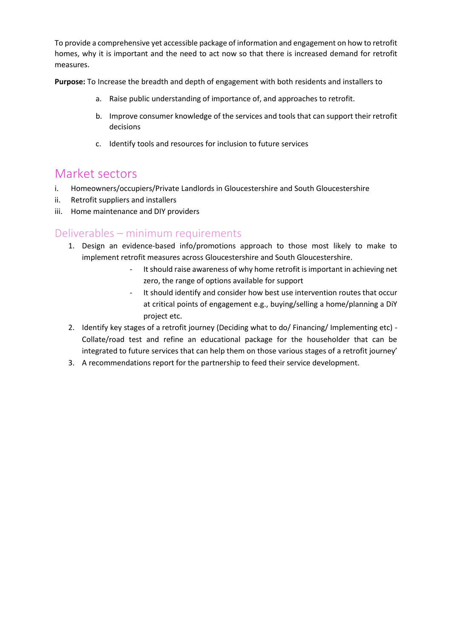To provide a comprehensive yet accessible package of information and engagement on how to retrofit homes, why it is important and the need to act now so that there is increased demand for retrofit measures.

**Purpose:** To Increase the breadth and depth of engagement with both residents and installers to

- a. Raise public understanding of importance of, and approaches to retrofit.
- b. Improve consumer knowledge of the services and tools that can support their retrofit decisions
- c. Identify tools and resources for inclusion to future services

# Market sectors

- i. Homeowners/occupiers/Private Landlords in Gloucestershire and South Gloucestershire
- ii. Retrofit suppliers and installers
- iii. Home maintenance and DIY providers

### Deliverables – minimum requirements

- 1. Design an evidence-based info/promotions approach to those most likely to make to implement retrofit measures across Gloucestershire and South Gloucestershire.
	- It should raise awareness of why home retrofit is important in achieving net zero, the range of options available for support
	- It should identify and consider how best use intervention routes that occur at critical points of engagement e.g., buying/selling a home/planning a DiY project etc.
- 2. Identify key stages of a retrofit journey (Deciding what to do/ Financing/ Implementing etc) Collate/road test and refine an educational package for the householder that can be integrated to future services that can help them on those various stages of a retrofit journey'
- 3. A recommendations report for the partnership to feed their service development.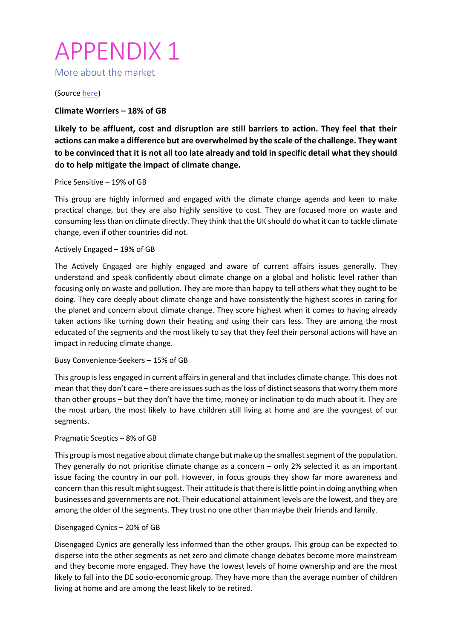# APPENDIX 1

More about the market

(Sourc[e here\)](https://www.nationalgrideso.com/document/215901/download)

**Climate Worriers – 18% of GB** 

**Likely to be affluent, cost and disruption are still barriers to action. They feel that their actions can make a difference but are overwhelmed by the scale of the challenge. They want to be convinced that it is not all too late already and told in specific detail what they should do to help mitigate the impact of climate change.**

#### Price Sensitive – 19% of GB

This group are highly informed and engaged with the climate change agenda and keen to make practical change, but they are also highly sensitive to cost. They are focused more on waste and consuming less than on climate directly. They think that the UK should do what it can to tackle climate change, even if other countries did not.

#### Actively Engaged – 19% of GB

The Actively Engaged are highly engaged and aware of current affairs issues generally. They understand and speak confidently about climate change on a global and holistic level rather than focusing only on waste and pollution. They are more than happy to tell others what they ought to be doing. They care deeply about climate change and have consistently the highest scores in caring for the planet and concern about climate change. They score highest when it comes to having already taken actions like turning down their heating and using their cars less. They are among the most educated of the segments and the most likely to say that they feel their personal actions will have an impact in reducing climate change.

#### Busy Convenience-Seekers – 15% of GB

This group is less engaged in current affairs in general and that includes climate change. This does not mean that they don't care – there are issues such as the loss of distinct seasons that worry them more than other groups – but they don't have the time, money or inclination to do much about it. They are the most urban, the most likely to have children still living at home and are the youngest of our segments.

#### Pragmatic Sceptics – 8% of GB

This group is most negative about climate change but make up the smallest segment of the population. They generally do not prioritise climate change as a concern – only 2% selected it as an important issue facing the country in our poll. However, in focus groups they show far more awareness and concern than this result might suggest. Their attitude is that there is little point in doing anything when businesses and governments are not. Their educational attainment levels are the lowest, and they are among the older of the segments. They trust no one other than maybe their friends and family.

#### Disengaged Cynics – 20% of GB

Disengaged Cynics are generally less informed than the other groups. This group can be expected to disperse into the other segments as net zero and climate change debates become more mainstream and they become more engaged. They have the lowest levels of home ownership and are the most likely to fall into the DE socio-economic group. They have more than the average number of children living at home and are among the least likely to be retired.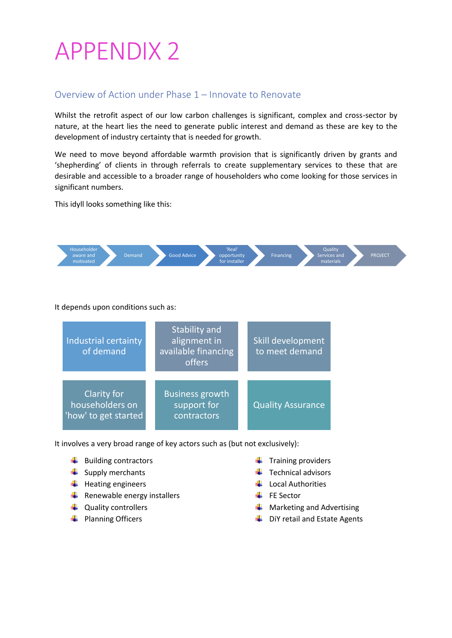# APPENDIX 2

### Overview of Action under Phase 1 – Innovate to Renovate

Whilst the retrofit aspect of our low carbon challenges is significant, complex and cross-sector by nature, at the heart lies the need to generate public interest and demand as these are key to the development of industry certainty that is needed for growth.

We need to move beyond affordable warmth provision that is significantly driven by grants and 'shepherding' of clients in through referrals to create supplementary services to these that are desirable and accessible to a broader range of householders who come looking for those services in significant numbers.

This idyll looks something like this:



It depends upon conditions such as:



It involves a very broad range of key actors such as (but not exclusively):

- $\bigstar$  Building contractors
- $\frac{1}{2}$  Supply merchants
- $\downarrow$  Heating engineers
- $\frac{1}{\sqrt{2}}$  Renewable energy installers
- $\downarrow$  Quality controllers
- $\leftarrow$  Planning Officers
- $\ddot{\bullet}$  Training providers
	- $\ddot{\bullet}$  Technical advisors
- $\downarrow$  Local Authorities
- $\leftarrow$  FE Sector
- $\leftarrow$  Marketing and Advertising
- DiY retail and Estate Agents